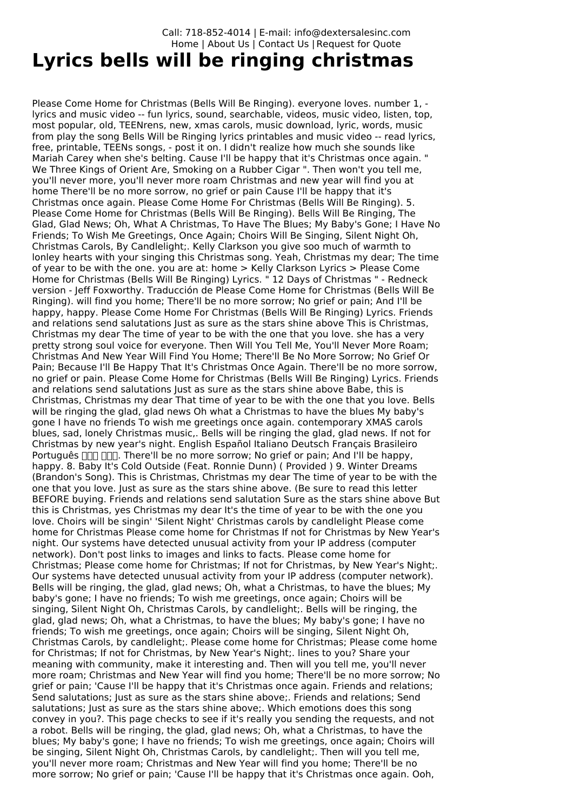## Call: 718-852-4014 | E-mail: info@dextersalesinc.com Home | About Us | Contact Us |Request for Quote **Lyrics bells will be ringing christmas**

Please Come Home for Christmas (Bells Will Be Ringing). everyone loves. number 1, lyrics and music video -- fun lyrics, sound, searchable, videos, music video, listen, top, most popular, old, TEENrens, new, xmas carols, music download, lyric, words, music from play the song Bells Will be Ringing lyrics printables and music video -- read lyrics, free, printable, TEENs songs, - post it on. I didn't realize how much she sounds like Mariah Carey when she's belting. Cause I'll be happy that it's Christmas once again. " We Three Kings of Orient Are, Smoking on a Rubber Cigar ". Then won't you tell me, you'll never more, you'll never more roam Christmas and new year will find you at home There'll be no more sorrow, no grief or pain Cause I'll be happy that it's Christmas once again. Please Come Home For Christmas (Bells Will Be Ringing). 5. Please Come Home for Christmas (Bells Will Be Ringing). Bells Will Be Ringing, The Glad, Glad News; Oh, What A Christmas, To Have The Blues; My Baby's Gone; I Have No Friends; To Wish Me Greetings, Once Again; Choirs Will Be Singing, Silent Night Oh, Christmas Carols, By Candlelight;. Kelly Clarkson you give soo much of warmth to lonley hearts with your singing this Christmas song. Yeah, Christmas my dear; The time of year to be with the one. you are at: home > Kelly Clarkson Lyrics > Please Come Home for Christmas (Bells Will Be Ringing) Lyrics. " 12 Days of Christmas " - Redneck version - Jeff Foxworthy. Traducción de Please Come Home for Christmas (Bells Will Be Ringing). will find you home; There'll be no more sorrow; No grief or pain; And I'll be happy, happy. Please Come Home For Christmas (Bells Will Be Ringing) Lyrics. Friends and relations send salutations Just as sure as the stars shine above This is Christmas, Christmas my dear The time of year to be with the one that you love. she has a very pretty strong soul voice for everyone. Then Will You Tell Me, You'll Never More Roam; Christmas And New Year Will Find You Home; There'll Be No More Sorrow; No Grief Or Pain; Because I'll Be Happy That It's Christmas Once Again. There'll be no more sorrow, no grief or pain. Please Come Home for Christmas (Bells Will Be Ringing) Lyrics. Friends and relations send salutations Just as sure as the stars shine above Babe, this is Christmas, Christmas my dear That time of year to be with the one that you love. Bells will be ringing the glad, glad news Oh what a Christmas to have the blues My baby's gone I have no friends To wish me greetings once again. contemporary XMAS carols blues, sad, lonely Christmas music,. Bells will be ringing the glad, glad news. If not for Christmas by new year's night. English Español Italiano Deutsch Français Brasileiro Português  $\Box$   $\Box$  There'll be no more sorrow; No grief or pain; And I'll be happy, happy. 8. Baby It's Cold Outside (Feat. Ronnie Dunn) ( Provided ) 9. Winter Dreams (Brandon's Song). This is Christmas, Christmas my dear The time of year to be with the one that you love. Just as sure as the stars shine above. (Be sure to read this letter BEFORE buying. Friends and relations send salutation Sure as the stars shine above But this is Christmas, yes Christmas my dear It's the time of year to be with the one you love. Choirs will be singin' 'Silent Night' Christmas carols by candlelight Please come home for Christmas Please come home for Christmas If not for Christmas by New Year's night. Our systems have detected unusual activity from your IP address (computer network). Don't post links to images and links to facts. Please come home for Christmas; Please come home for Christmas; If not for Christmas, by New Year's Night;. Our systems have detected unusual activity from your IP address (computer network). Bells will be ringing, the glad, glad news; Oh, what a Christmas, to have the blues; My baby's gone; I have no friends; To wish me greetings, once again; Choirs will be singing, Silent Night Oh, Christmas Carols, by candlelight;. Bells will be ringing, the glad, glad news; Oh, what a Christmas, to have the blues; My baby's gone; I have no friends; To wish me greetings, once again; Choirs will be singing, Silent Night Oh, Christmas Carols, by candlelight;. Please come home for Christmas; Please come home for Christmas; If not for Christmas, by New Year's Night;. lines to you? Share your meaning with community, make it interesting and. Then will you tell me, you'll never more roam; Christmas and New Year will find you home; There'll be no more sorrow; No grief or pain; 'Cause I'll be happy that it's Christmas once again. Friends and relations; Send salutations; Just as sure as the stars shine above;. Friends and relations; Send salutations; Just as sure as the stars shine above;. Which emotions does this song convey in you?. This page checks to see if it's really you sending the requests, and not a robot. Bells will be ringing, the glad, glad news; Oh, what a Christmas, to have the blues; My baby's gone; I have no friends; To wish me greetings, once again; Choirs will be singing, Silent Night Oh, Christmas Carols, by candlelight;. Then will you tell me, you'll never more roam; Christmas and New Year will find you home; There'll be no more sorrow; No grief or pain; 'Cause I'll be happy that it's Christmas once again. Ooh,